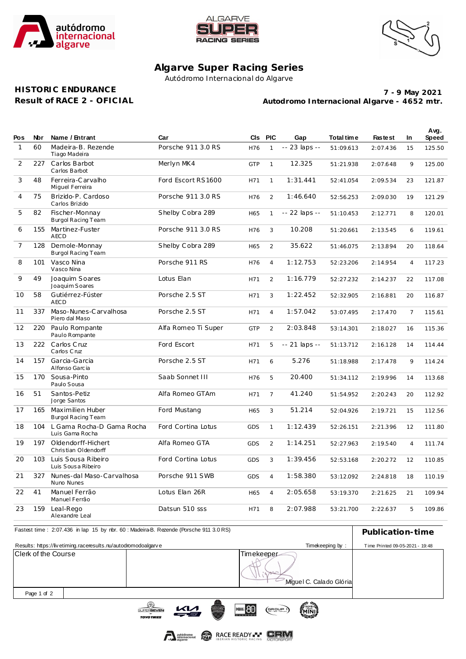





## **Algarve Super Racing Series**

Autódromo Internacional do Algarve

## **HISTORIC ENDURANCE Result of RACE 2 - OFICIAL**

**Autodromo Internacional Algarve - 4652 mtr. 7 - 9 May 2021**

| Pos            | Nbr | Name / Entrant                               | Car                 |            | CIs PIC        | Gap           | Total time | <b>Fastest</b> | <b>In</b>      | Avg.<br>Speed |
|----------------|-----|----------------------------------------------|---------------------|------------|----------------|---------------|------------|----------------|----------------|---------------|
| $\mathbf{1}$   | 60  | Madeira-B. Rezende<br>Tiago Madeira          | Porsche 911 3.0 RS  | H76        | $\mathbf{1}$   | -- 23 laps -- | 51:09.613  | 2:07.436       | 15             | 125.50        |
| 2              | 227 | Carlos Barbot<br>Carlos Barbot               | Merlyn MK4          | <b>GTP</b> | $\mathbf{1}$   | 12.325        | 51:21.938  | 2:07.648       | 9              | 125.00        |
| 3              | 48  | Ferreira-Carvalho<br>Miguel Ferreira         | Ford Escort RS1600  | H71        | $\mathbf{1}$   | 1:31.441      | 52:41.054  | 2:09.534       | 23             | 121.87        |
| 4              | 75  | Brizido-P. Cardoso<br>Carlos Brizido         | Porsche 911 3.0 RS  | H76        | $\overline{2}$ | 1:46.640      | 52:56.253  | 2:09.030       | 19             | 121.29        |
| 5              | 82  | Fischer-Monnay<br>Burgol Racing Team         | Shelby Cobra 289    | H65        | $\mathbf{1}$   | -- 22 laps -- | 51:10.453  | 2:12.771       | 8              | 120.01        |
| 6              | 155 | Martinez-Fuster<br><b>AECD</b>               | Porsche 911 3.0 RS  | H76        | 3              | 10.208        | 51:20.661  | 2:13.545       | 6              | 119.61        |
| $\overline{7}$ | 128 | Demole-Monnay<br>Burgol Racing Team          | Shelby Cobra 289    | H65        | $\overline{2}$ | 35.622        | 51:46.075  | 2:13.894       | 20             | 118.64        |
| 8              | 101 | Vasco Nina<br>Vasco Nina                     | Porsche 911 RS      | H76        | $\overline{4}$ | 1:12.753      | 52:23.206  | 2:14.954       | $\overline{4}$ | 117.23        |
| 9              | 49  | Joaquim Soares<br>Joaquim Soares             | Lotus Elan          | H71        | $\mathcal{L}$  | 1:16.779      | 52:27.232  | 2:14.237       | 22             | 117.08        |
| 10             | 58  | Gutiérrez-Fúster<br><b>AECD</b>              | Porsche 2.5 ST      | H71        | 3              | 1:22.452      | 52:32.905  | 2:16.881       | 20             | 116.87        |
| 11             | 337 | Maso-Nunes-Carvalhosa<br>Piero dal Maso      | Porsche 2.5 ST      | H71        | $\overline{4}$ | 1:57.042      | 53:07.495  | 2:17.470       | $\overline{7}$ | 115.61        |
| 12             | 220 | Paulo Rompante<br>Paulo Rompante             | Alfa Romeo Ti Super | <b>GTP</b> | $\overline{2}$ | 2:03.848      | 53:14.301  | 2:18.027       | 16             | 115.36        |
| 13             | 222 | Carlos Cruz<br>Carlos Cruz                   | Ford Escort         | H71        | 5              | -- 21 laps -- | 51:13.712  | 2:16.128       | 14             | 114.44        |
| 14             | 157 | Garcia-Garcia<br>Alfonso Garcia              | Porsche 2.5 ST      | H71        | 6              | 5.276         | 51:18.988  | 2:17.478       | 9              | 114.24        |
| 15             | 170 | Sousa-Pinto<br>Paulo Sousa                   | Saab Sonnet III     | H76        | 5              | 20.400        | 51:34.112  | 2:19.996       | 14             | 113.68        |
| 16             | 51  | Santos-Petiz<br>Jorge Santos                 | Alfa Romeo GTAm     | H71        | $\overline{7}$ | 41.240        | 51:54.952  | 2:20.243       | 20             | 112.92        |
| 17             | 165 | Maximilien Huber<br>Burgol Racing Team       | Ford Mustang        | H65        | 3              | 51.214        | 52:04.926  | 2:19.721       | 15             | 112.56        |
| 18             | 104 | L Gama Rocha-D Gama Rocha<br>Luis Gama Rocha | Ford Cortina Lotus  | <b>GDS</b> | $\mathbf{1}$   | 1:12.439      | 52:26.151  | 2:21.396       | 12             | 111.80        |
| 19             | 197 | Oldendorff-Hichert<br>Christian Oldendorff   | Alfa Romeo GTA      | <b>GDS</b> | 2              | 1:14.251      | 52:27.963  | 2:19.540       | $\overline{4}$ | 111.74        |
| 20             | 103 | Luis Sousa Ribeiro<br>Luis Sousa Ribeiro     | Ford Cortina Lotus  | <b>GDS</b> | 3              | 1:39.456      | 52:53.168  | 2:20.272       | 12             | 110.85        |
| 21             | 327 | Nunes-dal Maso-Carvalhosa<br>Nuno Nunes      | Porsche 911 SWB     | <b>GDS</b> | $\overline{4}$ | 1:58.380      | 53:12.092  | 2:24.818       | 18             | 110.19        |
| 22             | 41  | Manuel Ferrão<br>Manuel Ferrão               | Lotus Elan 26R      | H65        | $\overline{4}$ | 2:05.658      | 53:19.370  | 2:21.625       | 21             | 109.94        |
| 23             | 159 | Leal-Rego<br>Alexandre Leal                  | Datsun 510 sss      | H71        | 8              | 2:07.988      | 53:21.700  | 2:22.637       | 5              | 109.86        |

|                                                               | Fastest time: 2:07.436 in lap 15 by rbr. 60: Madeira-B. Rezende (Porsche 911 3.0 RS) |            |                         | Publication-time |
|---------------------------------------------------------------|--------------------------------------------------------------------------------------|------------|-------------------------|------------------|
| Results: https://livetiming.raceresults.nu/autodromodoalgarve | Time Printed 09-05-2021 - 19:48                                                      |            |                         |                  |
| Clerk of the Course                                           |                                                                                      | Timekeeper | Miquel C. Calado Glória |                  |
| Page 1 of 2                                                   |                                                                                      |            |                         |                  |
|                                                               | $\sim$                                                                               |            | $\mathcal{L}$ is the    |                  |





MINIS